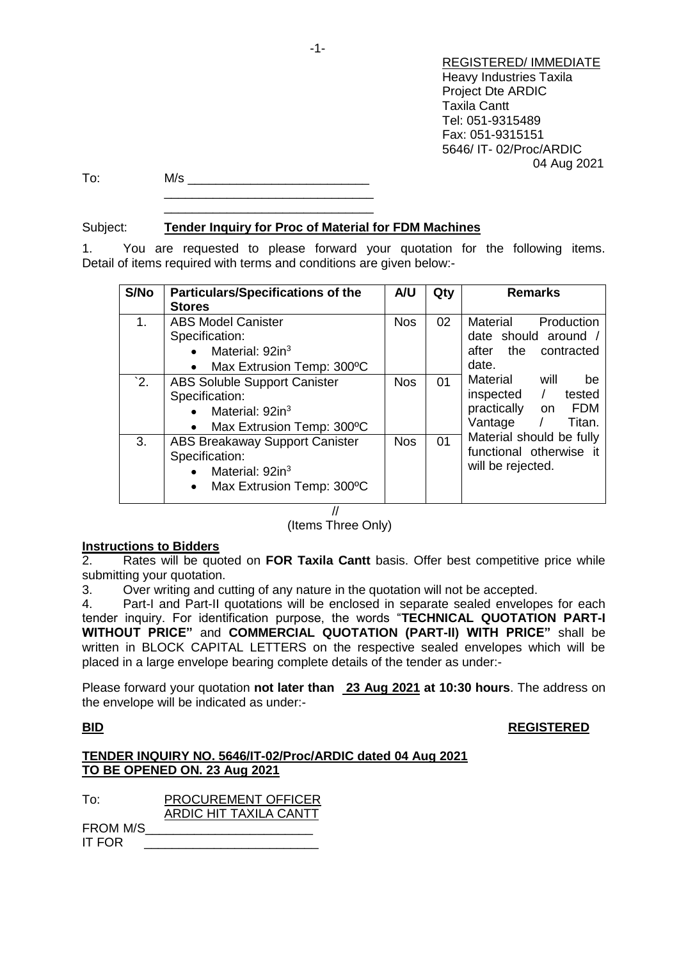REGISTERED/ IMMEDIATE Heavy Industries Taxila Project Dte ARDIC Taxila Cantt Tel: 051-9315489 Fax: 051-9315151 5646/ IT- 02/Proc/ARDIC 04 Aug 2021

To: M/s \_\_\_\_\_\_\_\_\_\_\_\_\_\_\_\_\_\_\_\_\_\_\_\_\_\_ \_\_\_\_\_\_\_\_\_\_\_\_\_\_\_\_\_\_\_\_\_\_\_\_\_\_\_\_\_\_

## Subject: **Tender Inquiry for Proc of Material for FDM Machines**

\_\_\_\_\_\_\_\_\_\_\_\_\_\_\_\_\_\_\_\_\_\_\_\_\_\_\_\_\_\_

1. You are requested to please forward your quotation for the following items. Detail of items required with terms and conditions are given below:-

| S/No | <b>Particulars/Specifications of the</b><br><b>Stores</b>                                                                                     | A/U        | Qty | <b>Remarks</b>                                                                                              |
|------|-----------------------------------------------------------------------------------------------------------------------------------------------|------------|-----|-------------------------------------------------------------------------------------------------------------|
| 1.   | <b>ABS Model Canister</b><br>Specification:<br>Material: 92in <sup>3</sup><br>$\bullet$<br>Max Extrusion Temp: 300°C<br>$\bullet$             | <b>Nos</b> | 02  | Material<br>Production<br>date should around /<br>after the<br>contracted<br>date.                          |
| $^2$ | <b>ABS Soluble Support Canister</b><br>Specification:<br>Material: 92in <sup>3</sup><br>$\bullet$<br>Max Extrusion Temp: 300°C<br>$\bullet$   | <b>Nos</b> | 01  | Material<br>will<br>be<br>inspected /<br>tested<br>practically<br><b>FDM</b><br>on<br>Vantage $/$<br>Titan. |
| 3.   | <b>ABS Breakaway Support Canister</b><br>Specification:<br>Material: 92in <sup>3</sup><br>$\bullet$<br>Max Extrusion Temp: 300°C<br>$\bullet$ | <b>Nos</b> | 01  | Material should be fully<br>functional otherwise it<br>will be rejected.                                    |

### //

### (Items Three Only)

### **Instructions to Bidders**

2. Rates will be quoted on **FOR Taxila Cantt** basis. Offer best competitive price while submitting your quotation.

3. Over writing and cutting of any nature in the quotation will not be accepted.

4. Part-I and Part-II quotations will be enclosed in separate sealed envelopes for each tender inquiry. For identification purpose, the words "**TECHNICAL QUOTATION PART-I WITHOUT PRICE"** and **COMMERCIAL QUOTATION (PART-II) WITH PRICE"** shall be written in BLOCK CAPITAL LETTERS on the respective sealed envelopes which will be placed in a large envelope bearing complete details of the tender as under:-

Please forward your quotation **not later than 23 Aug 2021 at 10:30 hours**. The address on the envelope will be indicated as under:-

# **BID REGISTERED**

| TENDER INQUIRY NO. 5646/IT-02/Proc/ARDIC dated 04 Aug 2021 |  |
|------------------------------------------------------------|--|
| TO BE OPENED ON. 23 Aug 2021                               |  |

| To:           | <b>PROCUREMENT OFFICER</b> |
|---------------|----------------------------|
|               | ARDIC HIT TAXILA CANTT     |
| FROM M/S      |                            |
| <b>IT FOR</b> |                            |

-1-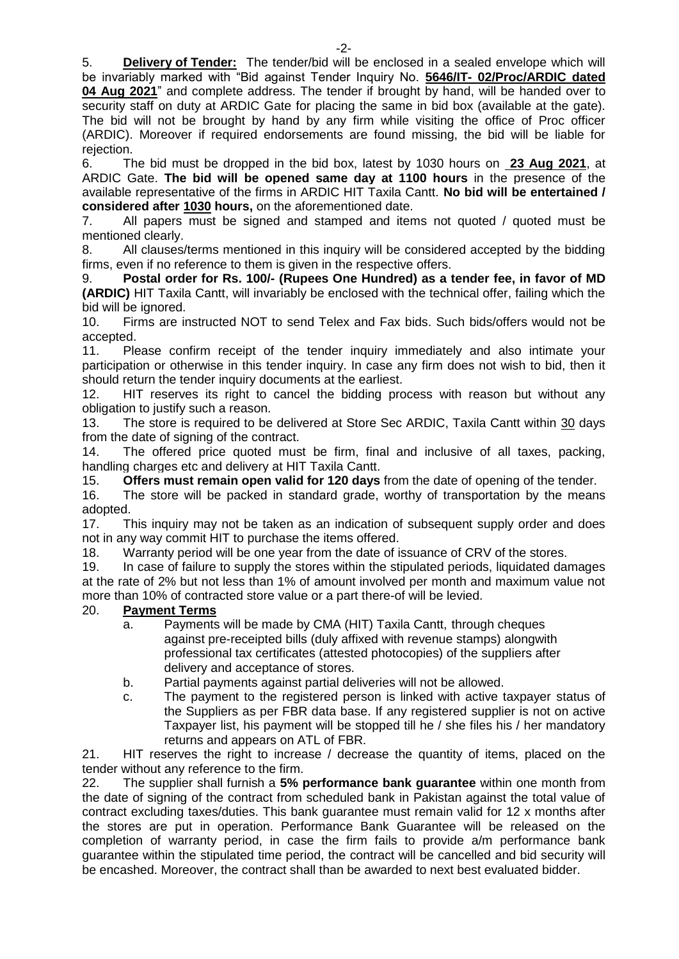5. **Delivery of Tender:** The tender/bid will be enclosed in a sealed envelope which will be invariably marked with "Bid against Tender Inquiry No. **5646/IT- 02/Proc/ARDIC dated 04 Aug 2021**" and complete address. The tender if brought by hand, will be handed over to security staff on duty at ARDIC Gate for placing the same in bid box (available at the gate). The bid will not be brought by hand by any firm while visiting the office of Proc officer (ARDIC). Moreover if required endorsements are found missing, the bid will be liable for rejection.

6. The bid must be dropped in the bid box, latest by 1030 hours on **23 Aug 2021**, at ARDIC Gate. **The bid will be opened same day at 1100 hours** in the presence of the available representative of the firms in ARDIC HIT Taxila Cantt. **No bid will be entertained / considered after 1030 hours,** on the aforementioned date.

7. All papers must be signed and stamped and items not quoted / quoted must be mentioned clearly.

8. All clauses/terms mentioned in this inquiry will be considered accepted by the bidding firms, even if no reference to them is given in the respective offers.

9. **Postal order for Rs. 100/- (Rupees One Hundred) as a tender fee, in favor of MD (ARDIC)** HIT Taxila Cantt, will invariably be enclosed with the technical offer, failing which the bid will be ignored.

10. Firms are instructed NOT to send Telex and Fax bids. Such bids/offers would not be accepted.

11. Please confirm receipt of the tender inquiry immediately and also intimate your participation or otherwise in this tender inquiry. In case any firm does not wish to bid, then it should return the tender inquiry documents at the earliest.

12. HIT reserves its right to cancel the bidding process with reason but without any obligation to justify such a reason.

13. The store is required to be delivered at Store Sec ARDIC, Taxila Cantt within 30 days from the date of signing of the contract.

14. The offered price quoted must be firm, final and inclusive of all taxes, packing, handling charges etc and delivery at HIT Taxila Cantt.

15. **Offers must remain open valid for 120 days** from the date of opening of the tender.

16. The store will be packed in standard grade, worthy of transportation by the means adopted.

17. This inquiry may not be taken as an indication of subsequent supply order and does not in any way commit HIT to purchase the items offered.

18. Warranty period will be one year from the date of issuance of CRV of the stores.

19. In case of failure to supply the stores within the stipulated periods, liquidated damages at the rate of 2% but not less than 1% of amount involved per month and maximum value not more than 10% of contracted store value or a part there-of will be levied.

### 20. **Payment Terms**

- a. Payments will be made by CMA (HIT) Taxila Cantt, through cheques against pre-receipted bills (duly affixed with revenue stamps) alongwith professional tax certificates (attested photocopies) of the suppliers after delivery and acceptance of stores.
- b. Partial payments against partial deliveries will not be allowed.
- c. The payment to the registered person is linked with active taxpayer status of the Suppliers as per FBR data base. If any registered supplier is not on active Taxpayer list, his payment will be stopped till he / she files his / her mandatory returns and appears on ATL of FBR.

21. HIT reserves the right to increase / decrease the quantity of items, placed on the tender without any reference to the firm.

22. The supplier shall furnish a **5% performance bank guarantee** within one month from the date of signing of the contract from scheduled bank in Pakistan against the total value of contract excluding taxes/duties. This bank guarantee must remain valid for 12 x months after the stores are put in operation. Performance Bank Guarantee will be released on the completion of warranty period, in case the firm fails to provide a/m performance bank guarantee within the stipulated time period, the contract will be cancelled and bid security will be encashed. Moreover, the contract shall than be awarded to next best evaluated bidder.